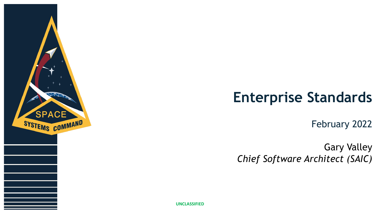

# **Enterprise Standards**

February 2022

Gary Valley *Chief Software Architect (SAIC)*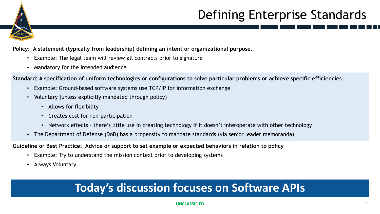

# Defining Enterprise Standards

**Policy: A statement (typically from leadership) defining an intent or organizational purpose.**

- Example: The legal team will review all contracts prior to signature
- Mandatory for the intended audience

**Standard: A specification of uniform technologies or configurations to solve particular problems or achieve specific efficiencies**

- Example: Ground-based software systems use TCP/IP for information exchange
- Voluntary (unless explicitly mandated through policy)
	- Allows for flexibility
	- Creates cost for non-participation
	- Network effects there's little use in creating technology if it doesn't interoperate with other technology
- The Department of Defense (DoD) has a propensity to mandate standards (via senior leader memoranda)

**Guideline or Best Practice: Advice or support to set example or expected behaviors in relation to policy**

- Example: Try to understand the mission context prior to developing systems
- Always Voluntary

### **Today's discussion focuses on Software APIs**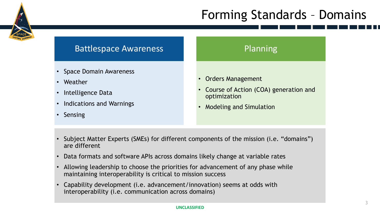## Forming Standards – Domains



- Subject Matter Experts (SMEs) for different components of the mission (i.e. "domains") are different
- Data formats and software APIs across domains likely change at variable rates
- Allowing leadership to choose the priorities for advancement of any phase while maintaining interoperability is critical to mission success
- Capability development (i.e. advancement/innovation) seems at odds with interoperability (i.e. communication across domains)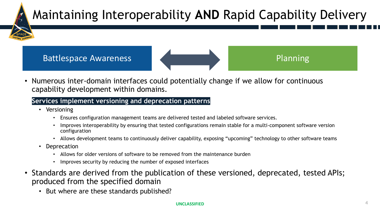

• Numerous inter-domain interfaces could potentially change if we allow for continuous capability development within domains.

### • **Services implement versioning and deprecation patterns**

- Versioning
	- Ensures configuration management teams are delivered tested and labeled software services.
	- Improves interoperability by ensuring that tested configurations remain stable for a multi-component software version configuration
	- Allows development teams to continuously deliver capability, exposing "upcoming" technology to other software teams
- Deprecation
	- Allows for older versions of software to be removed from the maintenance burden
	- Improves security by reducing the number of exposed interfaces
- Standards are derived from the publication of these versioned, deprecated, tested APIs; produced from the specified domain
	- But where are these standards published?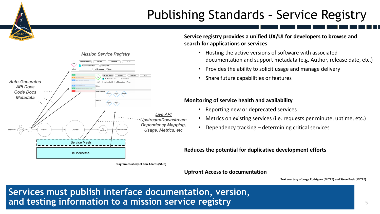# Publishing Standards – Service Registry



**Diagram courtesy of Ben Adams (SAIC)**

**Service registry provides a unified UX/UI for developers to browse and search for applications or services**

- Hosting the active versions of software with associated documentation and support metadata (e.g. Author, release date, etc.)
- Provides the ability to solicit usage and manage delivery
- Share future capabilities or features

#### **Monitoring of service health and availability**

- Reporting new or deprecated services
- Metrics on existing services (i.e. requests per minute, uptime, etc.)
- Dependency tracking determining critical services

#### **Reduces the potential for duplicative development efforts**

#### **Upfront Access to documentation**

**Text courtesy of Jorge Rodriguez (MITRE) and Steve Baek (MITRE)**

**Services must publish interface documentation, version, and testing information to a mission service registry**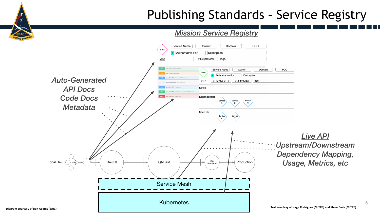### Publishing Standards – Service Registry

6

### *Mission Service Registry*

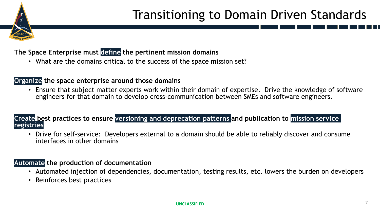

## Transitioning to Domain Driven Standards

**The Space Enterprise must define the pertinent mission domains**

• What are the domains critical to the success of the space mission set?

### **Organize the space enterprise around those domains**

• Ensure that subject matter experts work within their domain of expertise. Drive the knowledge of software engineers for that domain to develop cross-communication between SMEs and software engineers.

**Create best practices to ensure versioning and deprecation patterns and publication to mission service registries**

• Drive for self-service: Developers external to a domain should be able to reliably discover and consume interfaces in other domains

### **Automate the production of documentation**

- Automated injection of dependencies, documentation, testing results, etc. lowers the burden on developers
- Reinforces best practices